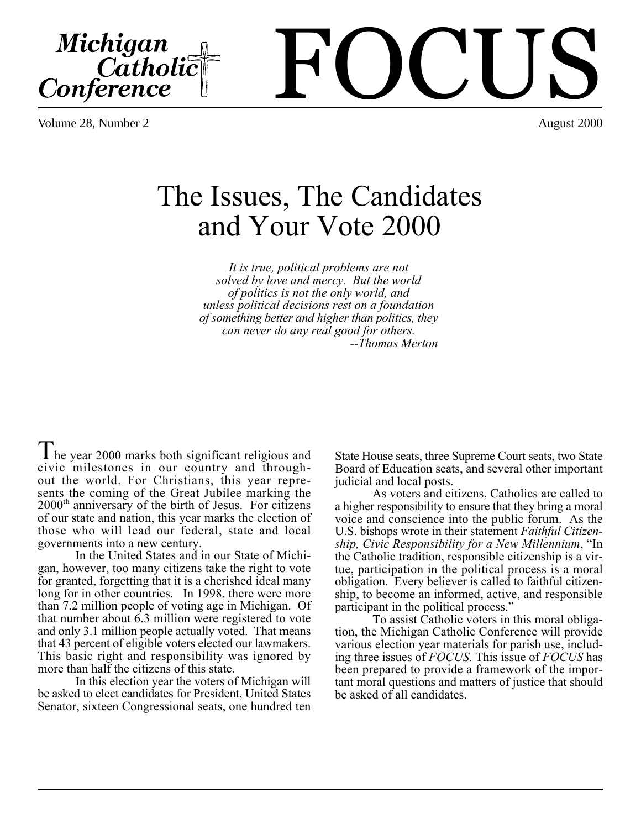Michigan<br>Catholic<br>Conference

The Issues, The Candidates and Your Vote 2000

> *It is true, political problems are not solved by love and mercy. But the world of politics is not the only world, and unless political decisions rest on a foundation of something better and higher than politics, they can never do any real good for others. --Thomas Merton*

I he year 2000 marks both significant religious and civic milestones in our country and throughout the world. For Christians, this year represents the coming of the Great Jubilee marking the 2000th anniversary of the birth of Jesus. For citizens of our state and nation, this year marks the election of those who will lead our federal, state and local governments into a new century.

In the United States and in our State of Michigan, however, too many citizens take the right to vote for granted, forgetting that it is a cherished ideal many long for in other countries. In 1998, there were more than 7.2 million people of voting age in Michigan. Of that number about 6.3 million were registered to vote and only 3.1 million people actually voted. That means that 43 percent of eligible voters elected our lawmakers. This basic right and responsibility was ignored by more than half the citizens of this state.

In this election year the voters of Michigan will be asked to elect candidates for President, United States Senator, sixteen Congressional seats, one hundred ten

State House seats, three Supreme Court seats, two State Board of Education seats, and several other important judicial and local posts.

As voters and citizens, Catholics are called to a higher responsibility to ensure that they bring a moral voice and conscience into the public forum. As the U.S. bishops wrote in their statement *Faithful Citizenship, Civic Responsibility for a New Millennium*, "In the Catholic tradition, responsible citizenship is a virtue, participation in the political process is a moral obligation. Every believer is called to faithful citizenship, to become an informed, active, and responsible participant in the political process."

To assist Catholic voters in this moral obligation, the Michigan Catholic Conference will provide various election year materials for parish use, including three issues of *FOCUS*. This issue of *FOCUS* has been prepared to provide a framework of the important moral questions and matters of justice that should be asked of all candidates.

# FOCUS Volume 28, Number 2 August 2000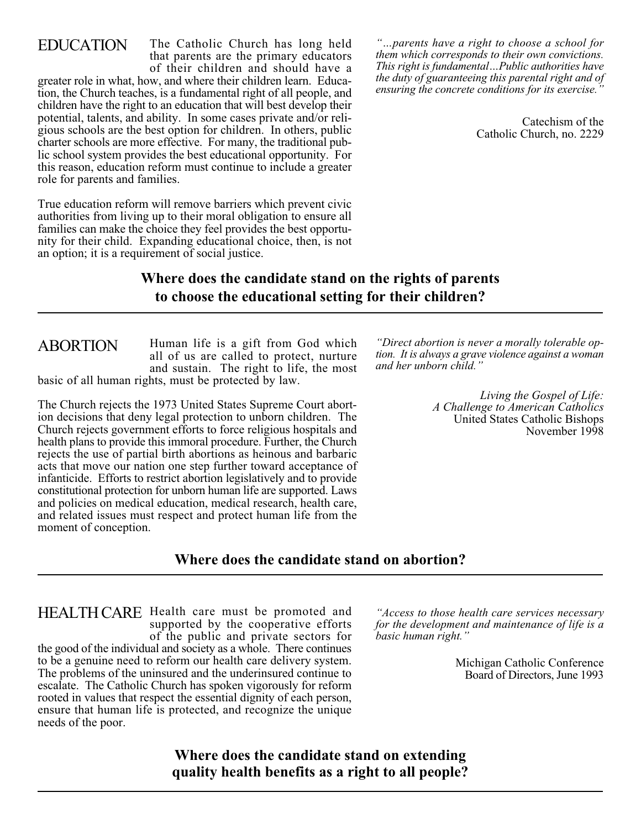### EDUCATION

moment of conception.

The Catholic Church has long held that parents are the primary educators of their children and should have a

greater role in what, how, and where their children learn. Education, the Church teaches, is a fundamental right of all people, and children have the right to an education that will best develop their potential, talents, and ability. In some cases private and/or religious schools are the best option for children. In others, public charter schools are more effective. For many, the traditional public school system provides the best educational opportunity. For this reason, education reform must continue to include a greater role for parents and families.

True education reform will remove barriers which prevent civic authorities from living up to their moral obligation to ensure all families can make the choice they feel provides the best opportunity for their child. Expanding educational choice, then, is not an option; it is a requirement of social justice.

*"…parents have a right to choose a school for them which corresponds to their own convictions. This right is fundamental…Public authorities have the duty of guaranteeing this parental right and of ensuring the concrete conditions for its exercise."*

> Catechism of the Catholic Church, no. 2229

### **Where does the candidate stand on the rights of parents to choose the educational setting for their children?**

Human life is a gift from God which all of us are called to protect, nurture and sustain. The right to life, the most basic of all human rights, must be protected by law. . ABORTION

The Church rejects the 1973 United States Supreme Court abortion decisions that deny legal protection to unborn children. The Church rejects government efforts to force religious hospitals and health plans to provide this immoral procedure. Further, the Church rejects the use of partial birth abortions as heinous and barbaric acts that move our nation one step further toward acceptance of infanticide. Efforts to restrict abortion legislatively and to provide constitutional protection for unborn human life are supported. Laws and policies on medical education, medical research, health care, and related issues must respect and protect human life from the

*"Direct abortion is never a morally tolerable option. It is always a grave violence against a woman and her unborn child."*

> *Living the Gospel of Life: A Challenge to American Catholics* United States Catholic Bishops November 1998

#### **Where does the candidate stand on abortion?**

HEALTH CARE Health care must be promoted and supported by the cooperative efforts of the public and private sectors for the good of the individual and society as a whole. There continues to be a genuine need to reform our health care delivery system. The problems of the uninsured and the underinsured continue to escalate. The Catholic Church has spoken vigorously for reform rooted in values that respect the essential dignity of each person, ensure that human life is protected, and recognize the unique needs of the poor.

*"Access to those health care services necessary for the development and maintenance of life is a basic human right."*

> Michigan Catholic Conference Board of Directors, June 1993

**Where does the candidate stand on extending quality health benefits as a right to all people?**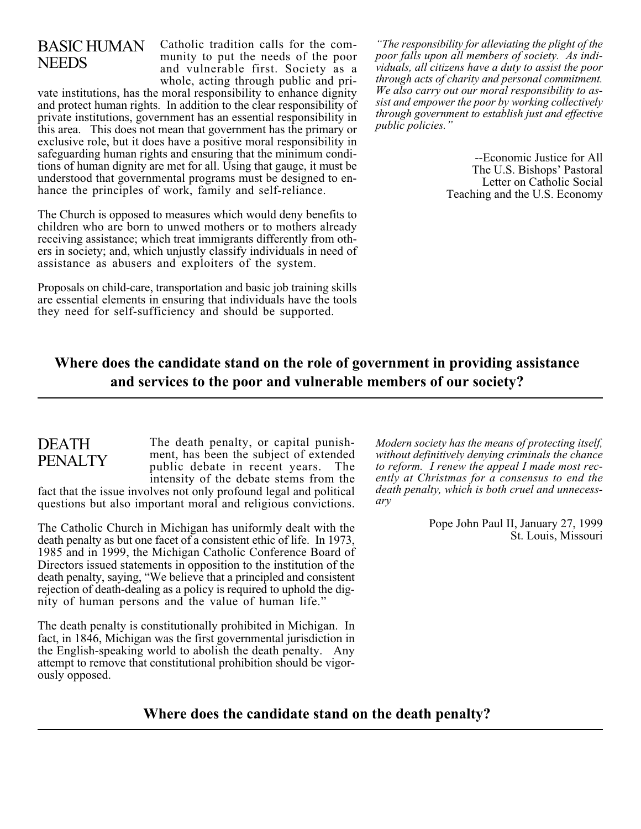# BASIC HUMAN **NEEDS**

Catholic tradition calls for the community to put the needs of the poor and vulnerable first. Society as a whole, acting through public and pri-

vate institutions, has the moral responsibility to enhance dignity and protect human rights. In addition to the clear responsibility of private institutions, government has an essential responsibility in this area. This does not mean that government has the primary or exclusive role, but it does have a positive moral responsibility in safeguarding human rights and ensuring that the minimum conditions of human dignity are met for all. Using that gauge, it must be understood that governmental programs must be designed to enhance the principles of work, family and self-reliance.

The Church is opposed to measures which would deny benefits to children who are born to unwed mothers or to mothers already receiving assistance; which treat immigrants differently from others in society; and, which unjustly classify individuals in need of assistance as abusers and exploiters of the system. .

Proposals on child-care, transportation and basic job training skills are essential elements in ensuring that individuals have the tools they need for self-sufficiency and should be supported. .

*"The responsibility for alleviating the plight of the poor falls upon all members of society. As individuals, all citizens have a duty to assist the poor through acts of charity and personal commitment. We also carry out our moral responsibility to assist and empower the poor by working collectively through government to establish just and effective public policies."*

> --Economic Justice for All The U.S. Bishops' Pastoral Letter on Catholic Social Teaching and the U.S. Economy

# **Where does the candidate stand on the role of government in providing assistance and services to the poor and vulnerable members of our society?**

## DEATH PENALTY

The death penalty, or capital punishment, has been the subject of extended public debate in recent years. The intensity of the debate stems from the

fact that the issue involves not only profound legal and political questions but also important moral and religious convictions.

The Catholic Church in Michigan has uniformly dealt with the death penalty as but one facet of a consistent ethic of life. In 1973, 1985 and in 1999, the Michigan Catholic Conference Board of Directors issued statements in opposition to the institution of the death penalty, saying, "We believe that a principled and consistent rejection of death-dealing as a policy is required to uphold the dignity of human persons and the value of human life."

The death penalty is constitutionally prohibited in Michigan. In fact, in 1846, Michigan was the first governmental jurisdiction in the English-speaking world to abolish the death penalty. Any attempt to remove that constitutional prohibition should be vigorously opposed.

*Modern society has the means of protecting itself, without definitively denying criminals the chance to reform. I renew the appeal I made most recently at Christmas for a consensus to end the death penalty, which is both cruel and unnecessary*

> Pope John Paul II, January 27, 1999 St. Louis, Missouri

#### **Where does the candidate stand on the death penalty?**